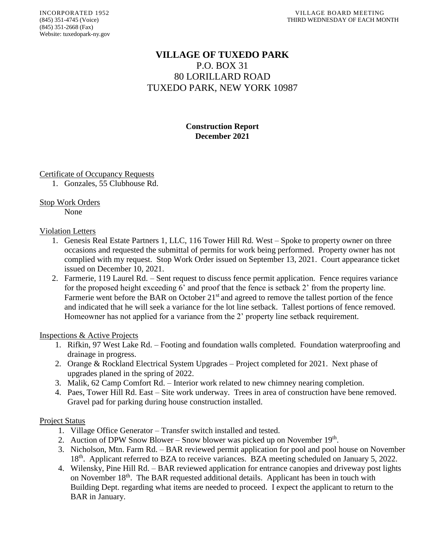# **VILLAGE OF TUXEDO PARK** P.O. BOX 31 80 LORILLARD ROAD TUXEDO PARK, NEW YORK 10987

**Construction Report December 2021**

## Certificate of Occupancy Requests

1. Gonzales, 55 Clubhouse Rd.

## Stop Work Orders

None

## Violation Letters

- 1. Genesis Real Estate Partners 1, LLC, 116 Tower Hill Rd. West Spoke to property owner on three occasions and requested the submittal of permits for work being performed. Property owner has not complied with my request. Stop Work Order issued on September 13, 2021. Court appearance ticket issued on December 10, 2021.
- 2. Farmerie, 119 Laurel Rd. Sent request to discuss fence permit application. Fence requires variance for the proposed height exceeding 6' and proof that the fence is setback 2' from the property line. Farmerie went before the BAR on October  $21<sup>st</sup>$  and agreed to remove the tallest portion of the fence and indicated that he will seek a variance for the lot line setback. Tallest portions of fence removed. Homeowner has not applied for a variance from the 2' property line setback requirement.

## Inspections & Active Projects

- 1. Rifkin, 97 West Lake Rd. Footing and foundation walls completed. Foundation waterproofing and drainage in progress.
- 2. Orange & Rockland Electrical System Upgrades Project completed for 2021. Next phase of upgrades planed in the spring of 2022.
- 3. Malik, 62 Camp Comfort Rd. Interior work related to new chimney nearing completion.
- 4. Paes, Tower Hill Rd. East Site work underway. Trees in area of construction have bene removed. Gravel pad for parking during house construction installed.

## Project Status

- 1. Village Office Generator Transfer switch installed and tested.
- 2. Auction of DPW Snow Blower Snow blower was picked up on November  $19<sup>th</sup>$ .
- 3. Nicholson, Mtn. Farm Rd. BAR reviewed permit application for pool and pool house on November 18<sup>th</sup>. Applicant referred to BZA to receive variances. BZA meeting scheduled on January 5, 2022.
- 4. Wilensky, Pine Hill Rd. BAR reviewed application for entrance canopies and driveway post lights on November 18<sup>th</sup>. The BAR requested additional details. Applicant has been in touch with Building Dept. regarding what items are needed to proceed. I expect the applicant to return to the BAR in January.